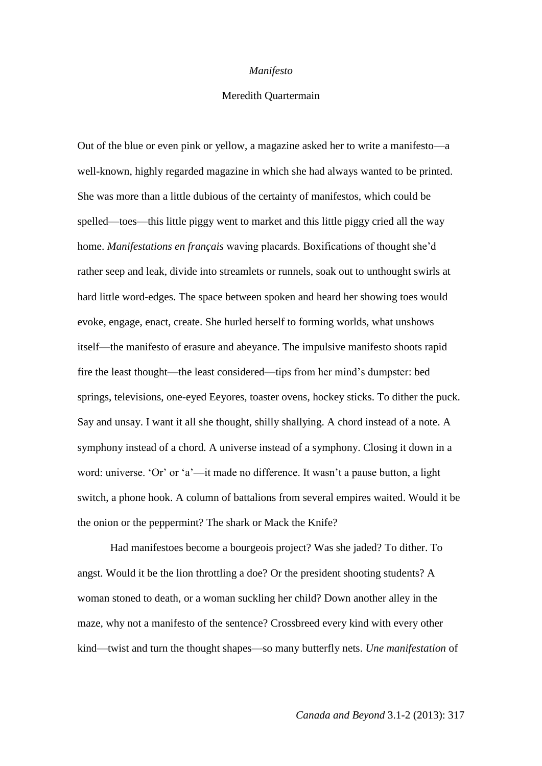## *Manifesto*

## Meredith Quartermain

Out of the blue or even pink or yellow, a magazine asked her to write a manifesto—a well-known, highly regarded magazine in which she had always wanted to be printed. She was more than a little dubious of the certainty of manifestos, which could be spelled—toes—this little piggy went to market and this little piggy cried all the way home. *Manifestations en français* waving placards. Boxifications of thought she'd rather seep and leak, divide into streamlets or runnels, soak out to unthought swirls at hard little word-edges. The space between spoken and heard her showing toes would evoke, engage, enact, create. She hurled herself to forming worlds, what unshows itself—the manifesto of erasure and abeyance. The impulsive manifesto shoots rapid fire the least thought—the least considered—tips from her mind's dumpster: bed springs, televisions, one-eyed Eeyores, toaster ovens, hockey sticks. To dither the puck. Say and unsay. I want it all she thought, shilly shallying. A chord instead of a note. A symphony instead of a chord. A universe instead of a symphony. Closing it down in a word: universe. 'Or' or 'a'—it made no difference. It wasn't a pause button, a light switch, a phone hook. A column of battalions from several empires waited. Would it be the onion or the peppermint? The shark or Mack the Knife?

Had manifestoes become a bourgeois project? Was she jaded? To dither. To angst. Would it be the lion throttling a doe? Or the president shooting students? A woman stoned to death, or a woman suckling her child? Down another alley in the maze, why not a manifesto of the sentence? Crossbreed every kind with every other kind—twist and turn the thought shapes—so many butterfly nets. *Une manifestation* of

*Canada and Beyond* 3.1-2 (2013): 317